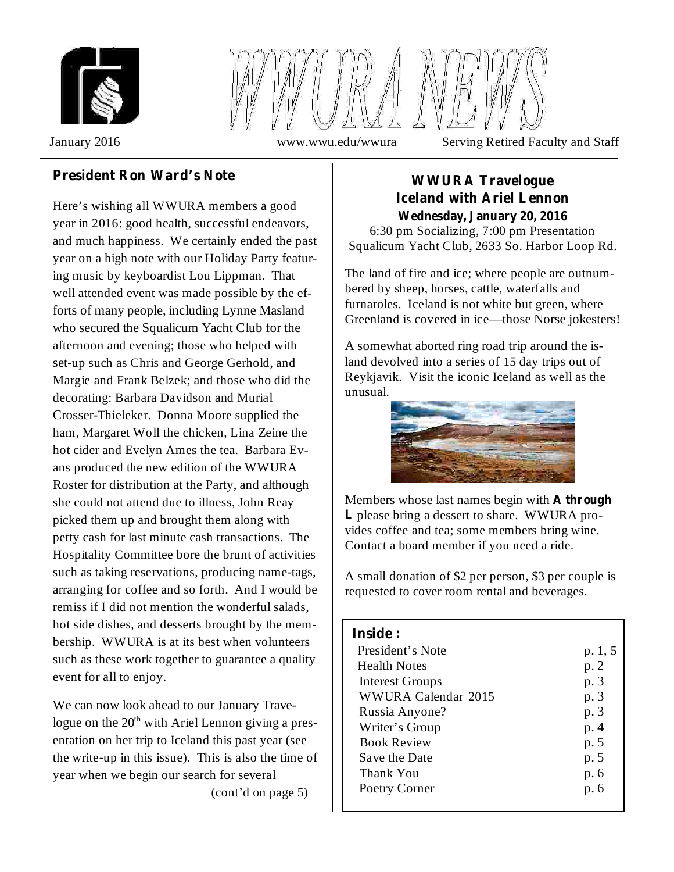



January 2016 www.wwu.edu/wwura Serving Retired Faculty and Staff

# **President Ron** Ward's Note **WWURA Travelogue**

Here's wishing all WWURA members a good year in 2016: good health, successful endeavors, and much happiness. We certainly ended the past year on a high note with our Holiday Party featuring music by keyboardist Lou Lippman. That well attended event was made possible by the efforts of many people, including Lynne Masland who secured the Squalicum Yacht Club for the afternoon and evening; those who helped with set-up such as Chris and George Gerhold, and Margie and Frank Belzek; and those who did the decorating: Barbara Davidson and Murial Crosser-Thieleker. Donna Moore supplied the ham, Margaret Woll the chicken, Lina Zeine the hot cider and Evelyn Ames the tea. Barbara Evans produced the new edition of the WWURA Roster for distribution at the Party, and although she could not attend due to illness, John Reay picked them up and brought them along with petty cash for last minute cash transactions. The Hospitality Committee bore the brunt of activities such as taking reservations, producing name-tags, arranging for coffee and so forth. And I would be remiss if I did not mention the wonderful salads, hot side dishes, and desserts brought by the membership. WWURA is at its best when volunteers such as these work together to guarantee a quality event for all to enjoy.

We can now look ahead to our January Travelogue on the  $20<sup>th</sup>$  with Ariel Lennon giving a presentation on her trip to Iceland this past year (see the write-up in this issue). This is also the time of year when we begin our search for several (cont'd on page 5)

# **Iceland with Ariel Lennon**

6:30 pm Socializing, 7:00 pm Presentation Squalicum Yacht Club, 2633 So. Harbor Loop Rd. **Wednesday, January 20, 2016**

The land of fire and ice; where people are outnumbered by sheep, horses, cattle, waterfalls and furnaroles. Iceland is not white but green, where Greenland is covered in ice—those Norse jokesters!

A somewhat aborted ring road trip around the island devolved into a series of 15 day trips out of Reykjavik. Visit the iconic Iceland as well as the unusual.



Members whose last names begin with **A through** L please bring a dessert to share. WWURA provides coffee and tea; some members bring wine. Contact a board member if you need a ride.

A small donation of \$2 per person, \$3 per couple is requested to cover room rental and beverages.

#### **Inside :**

| President's Note       | p. 1, 5 |
|------------------------|---------|
| <b>Health Notes</b>    | p. 2    |
| <b>Interest Groups</b> | p. 3    |
| WWURA Calendar 2015    | p. 3    |
| Russia Anyone?         | p. 3    |
| Writer's Group         | p. 4    |
| <b>Book Review</b>     | p. 5    |
| <b>Save the Date</b>   | p. 5    |
| Thank You              | p. 6    |
| Poetry Corner          | p. 6    |
|                        |         |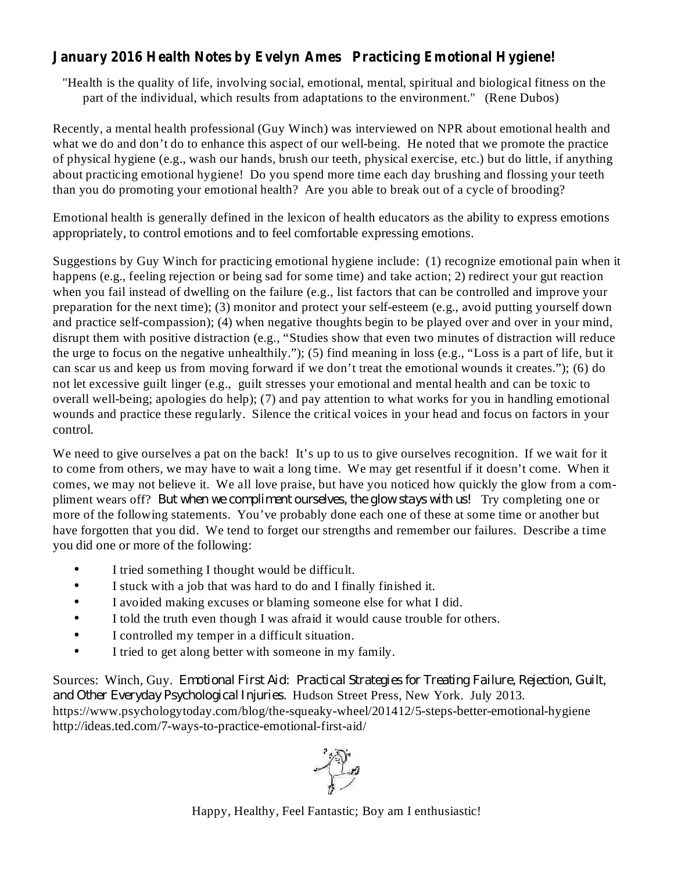## **January 2016 Health Notes by Evelyn Ames Practicing Emotional Hygiene!**

"Health is the quality of life, involving social, emotional, mental, spiritual and biological fitness on the part of the individual, which results from adaptations to the environment." (Rene Dubos)

Recently, a mental health professional (Guy Winch) was interviewed on NPR about emotional health and what we do and don't do to enhance this aspect of our well-being. He noted that we promote the practice of physical hygiene (e.g., wash our hands, brush our teeth, physical exercise, etc.) but do little, if anything about practicing emotional hygiene! Do you spend more time each day brushing and flossing your teeth than you do promoting your emotional health? Are you able to break out of a cycle of brooding?

Emotional health is generally defined in the lexicon of health educators as the ability to express emotions appropriately, to control emotions and to feel comfortable expressing emotions.

Suggestions by Guy Winch for practicing emotional hygiene include: (1) recognize emotional pain when it happens (e.g., feeling rejection or being sad for some time) and take action; 2) redirect your gut reaction when you fail instead of dwelling on the failure (e.g., list factors that can be controlled and improve your preparation for the next time); (3) monitor and protect your self-esteem (e.g., avoid putting yourself down and practice self-compassion); (4) when negative thoughts begin to be played over and over in your mind, disrupt them with positive distraction (e.g., "Studies show that even two minutes of distraction will reduce the urge to focus on the negative unhealthily."); (5) find meaning in loss (e.g., "Loss is a part of life, but it can scar us and keep us from moving forward if we don't treat the emotional wounds it creates."); (6) do not let excessive guilt linger (e.g., guilt stresses your emotional and mental health and can be toxic to overall well-being; apologies do help); (7) and pay attention to what works for you in handling emotional wounds and practice these regularly. Silence the critical voices in your head and focus on factors in your control.

We need to give ourselves a pat on the back! It's up to us to give ourselves recognition. If we wait for it to come from others, we may have to wait a long time. We may get resentful if it doesn't come. When it comes, we may not believe it. We all love praise, but have you noticed how quickly the glow from a compliment wears off? But when we compliment ourselves, the glow stays with us! Try completing one or more of the following statements. You've probably done each one of these at some time or another but have forgotten that you did. We tend to forget our strengths and remember our failures. Describe a time you did one or more of the following:

- I tried something I thought would be difficult. •
- I stuck with a job that was hard to do and I finally finished it. •
- I avoided making excuses or blaming someone else for what I did. •
- I told the truth even though I was afraid it would cause trouble for others. •
- I controlled my temper in a difficult situation. •
- I tried to get along better with someone in my family. •

Sources: Winch, Guy. *Emotional First Aid: Practical Strategies for Treating Failure, Rejection, Guilt,* and Other Everyday Psychological Injuries. Hudson Street Press, New York. July 2013. https://www.psychologytoday.com/blog/the-squeaky-wheel/201412/5-steps-better-emotional-hygiene http://ideas.ted.com/7-ways-to-practice-emotional-first-aid/



Happy, Healthy, Feel Fantastic; Boy am I enthusiastic!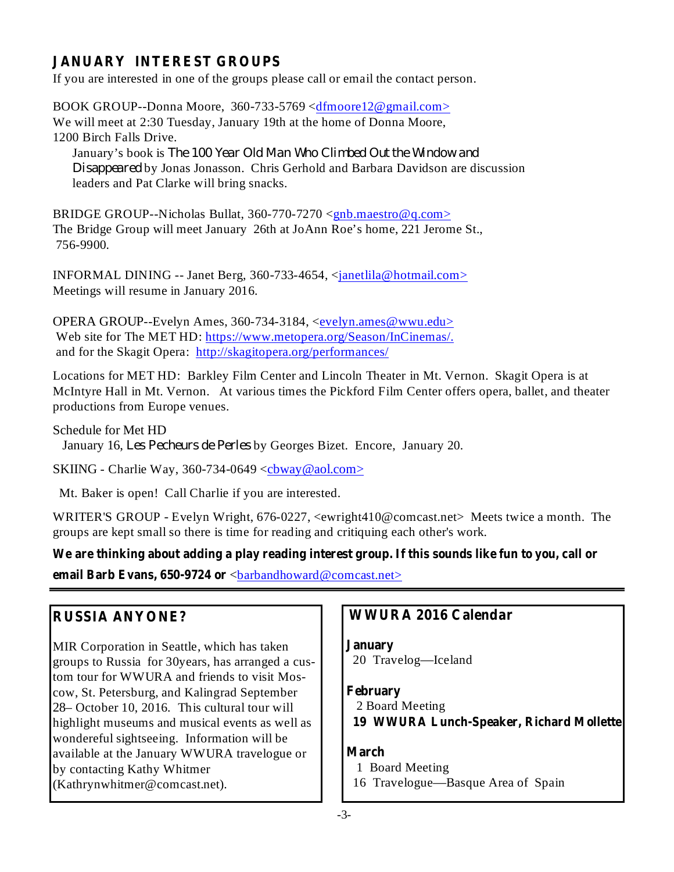## **JANUARY INTEREST GROUPS**

If you are interested in one of the groups please call or email the contact person.

BOOK GROUP--Donna Moore, 360-733-5769 <dfmoore12@gmail.com> We will meet at 2:30 Tuesday, January 19th at the home of Donna Moore, 1200 Birch Falls Drive.

January's book is *The 100 Year Old Man Who Climbed Out the Window and* Disappeared by Jonas Jonasson. Chris Gerhold and Barbara Davidson are discussion leaders and Pat Clarke will bring snacks.

BRIDGE GROUP--Nicholas Bullat, 360-770-7270 <gnb.maestro@q.com> The Bridge Group will meet January 26th at JoAnn Roe's home, 221 Jerome St., 756-9900.

INFORMAL DINING -- Janet Berg, 360-733-4654, <janetlila@hotmail.com> Meetings will resume in January 2016.

OPERA GROUP--Evelyn Ames, 360-734-3184, <evelyn.ames@wwu.edu> Web site for The MET HD: https://www.metopera.org/Season/InCinemas/. and for the Skagit Opera: http://skagitopera.org/performances/

Locations for MET HD: Barkley Film Center and Lincoln Theater in Mt. Vernon. Skagit Opera is at McIntyre Hall in Mt. Vernon. At various times the Pickford Film Center offers opera, ballet, and theater productions from Europe venues.

Schedule for Met HD January 16, Les Pecheurs de Perles by Georges Bizet. Encore, January 20.

SKIING - Charlie Way, 360-734-0649  $\langle$ cbway@aol.com>

Mt. Baker is open! Call Charlie if you are interested.

WRITER'S GROUP - Evelyn Wright, 676-0227, <ewright410@comcast.net> Meets twice a month. The groups are kept small so there is time for reading and critiquing each other's work.

**email Barb Evans, 650-9724 or**  $\langle$  barbandhoward@comcast.net> We are thinking about adding a play reading interest group. If this sounds like fun to you, call or

## **RUSSIA ANYONE?**

MIR Corporation in Seattle, which has taken groups to Russia for 30years, has arranged a custom tour for WWURA and friends to visit Moscow, St. Petersburg, and Kalingrad September 28– October 10, 2016. This cultural tour will highlight museums and musical events as well as wondereful sightseeing. Information will be available at the January WWURA travelogue or by contacting Kathy Whitmer (Kathrynwhitmer@comcast.net).

### **WWURA 2016 Calendar**

**January**

20 Travelog—Iceland

#### **February**

2 Board Meeting **19 WWURA Lunch-Speaker, Richard Mollette**

#### **March**

- 1 Board Meeting
- 16 Travelogue—Basque Area of Spain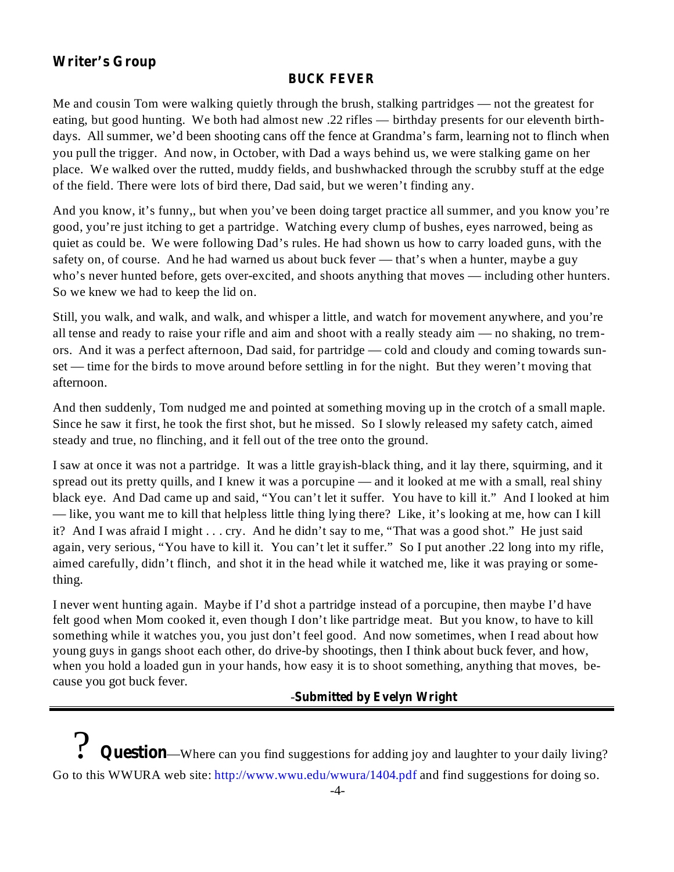## **Writer's Group**

#### **BUCK FEVER**

Me and cousin Tom were walking quietly through the brush, stalking partridges — not the greatest for eating, but good hunting. We both had almost new .22 rifles — birthday presents for our eleventh birthdays. All summer, we'd been shooting cans off the fence at Grandma's farm, learning not to flinch when you pull the trigger. And now, in October, with Dad a ways behind us, we were stalking game on her place. We walked over the rutted, muddy fields, and bushwhacked through the scrubby stuff at the edge of the field. There were lots of bird there, Dad said, but we weren't finding any.

And you know, it's funny,, but when you've been doing target practice all summer, and you know you're good, you're just itching to get a partridge. Watching every clump of bushes, eyes narrowed, being as quiet as could be. We were following Dad's rules. He had shown us how to carry loaded guns, with the safety on, of course. And he had warned us about buck fever — that's when a hunter, maybe a guy who's never hunted before, gets over-excited, and shoots anything that moves — including other hunters. So we knew we had to keep the lid on.

Still, you walk, and walk, and walk, and whisper a little, and watch for movement anywhere, and you're all tense and ready to raise your rifle and aim and shoot with a really steady aim — no shaking, no tremors. And it was a perfect afternoon, Dad said, for partridge — cold and cloudy and coming towards sunset — time for the birds to move around before settling in for the night. But they weren't moving that afternoon.

And then suddenly, Tom nudged me and pointed at something moving up in the crotch of a small maple. Since he saw it first, he took the first shot, but he missed. So I slowly released my safety catch, aimed steady and true, no flinching, and it fell out of the tree onto the ground.

I saw at once it was not a partridge. It was a little grayish-black thing, and it lay there, squirming, and it spread out its pretty quills, and I knew it was a porcupine — and it looked at me with a small, real shiny black eye. And Dad came up and said, "You can't let it suffer. You have to kill it." And I looked at him — like, you want me to kill that helpless little thing lying there? Like, it's looking at me, how can I kill it? And I was afraid I might . . . cry. And he didn't say to me, "That was a good shot." He just said again, very serious, "You have to kill it. You can't let it suffer." So I put another .22 long into my rifle, aimed carefully, didn't flinch, and shot it in the head while it watched me, like it was praying or something.

I never went hunting again. Maybe if I'd shot a partridge instead of a porcupine, then maybe I'd have felt good when Mom cooked it, even though I don't like partridge meat. But you know, to have to kill something while it watches you, you just don't feel good. And now sometimes, when I read about how young guys in gangs shoot each other, do drive-by shootings, then I think about buck fever, and how, when you hold a loaded gun in your hands, how easy it is to shoot something, anything that moves, because you got buck fever.

#### **Submitted by Evelyn Wright** -

? **Question**—Where can you find suggestions for adding joy and laughter to your daily living? Go to this WWURA web site: http://www.wwu.edu/wwura/1404.pdf and find suggestions for doing so.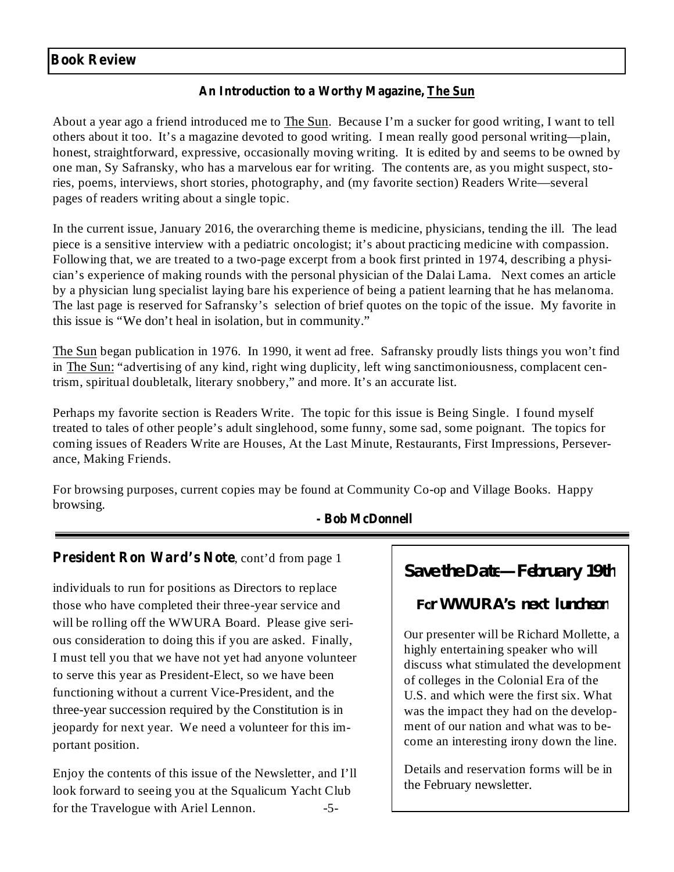#### **Book Review**

#### **An Introduction to a Worthy Magazine, The Sun**

About a year ago a friend introduced me to The Sun. Because I'm a sucker for good writing, I want to tell others about it too. It's a magazine devoted to good writing. I mean really good personal writing—plain, honest, straightforward, expressive, occasionally moving writing. It is edited by and seems to be owned by one man, Sy Safransky, who has a marvelous ear for writing. The contents are, as you might suspect, stories, poems, interviews, short stories, photography, and (my favorite section) Readers Write—several pages of readers writing about a single topic.

In the current issue, January 2016, the overarching theme is medicine, physicians, tending the ill. The lead piece is a sensitive interview with a pediatric oncologist; it's about practicing medicine with compassion. Following that, we are treated to a two-page excerpt from a book first printed in 1974, describing a physician's experience of making rounds with the personal physician of the Dalai Lama. Next comes an article by a physician lung specialist laying bare his experience of being a patient learning that he has melanoma. The last page is reserved for Safransky's selection of brief quotes on the topic of the issue. My favorite in this issue is "We don't heal in isolation, but in community."

The Sun began publication in 1976. In 1990, it went ad free. Safransky proudly lists things you won't find in The Sun: "advertising of any kind, right wing duplicity, left wing sanctimoniousness, complacent centrism, spiritual doubletalk, literary snobbery," and more. It's an accurate list.

Perhaps my favorite section is Readers Write. The topic for this issue is Being Single. I found myself treated to tales of other people's adult singlehood, some funny, some sad, some poignant. The topics for coming issues of Readers Write are Houses, At the Last Minute, Restaurants, First Impressions, Perseverance, Making Friends.

For browsing purposes, current copies may be found at Community Co-op and Village Books. Happy browsing.

#### **- Bob McDonnell**

#### **President Ron Ward's Note** , cont'd from page 1

individuals to run for positions as Directors to replace those who have completed their three-year service and will be rolling off the WWURA Board. Please give serious consideration to doing this if you are asked. Finally, I must tell you that we have not yet had anyone volunteer to serve this year as President-Elect, so we have been functioning without a current Vice-President, and the three-year succession required by the Constitution is in jeopardy for next year. We need a volunteer for this important position.

Enjoy the contents of this issue of the Newsletter, and I'll look forward to seeing you at the Squalicum Yacht Club for the Travelogue with Ariel Lennon. -5-

# **Save the Date—February 19th**

#### **For WWURA's next luncheon**

Our presenter will be Richard Mollette, a highly entertaining speaker who will discuss what stimulated the development of colleges in the Colonial Era of the U.S. and which were the first six. What was the impact they had on the development of our nation and what was to become an interesting irony down the line.

Details and reservation forms will be in the February newsletter.